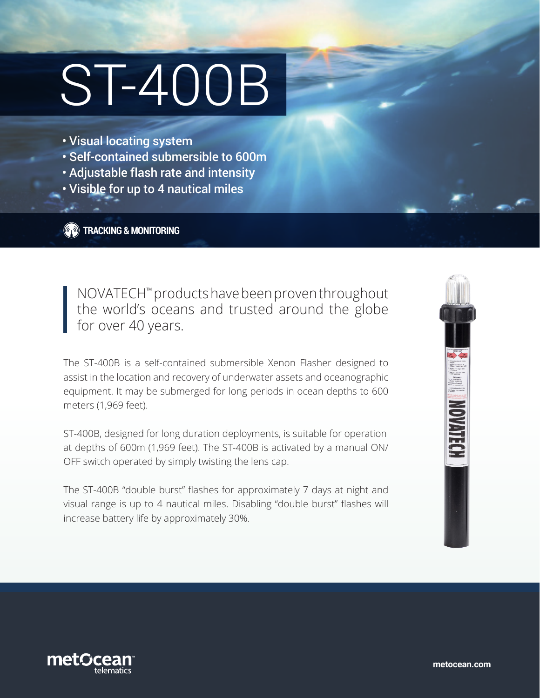# ST-400B

- Visual locating system
- Self-contained submersible to 600m
- Adjustable flash rate and intensity
- Visible for up to 4 nautical miles

**TRACKING & MONITORING**

NOVATECH™ products have been proven throughout the world's oceans and trusted around the globe for over 40 years.

The ST-400B is a self-contained submersible Xenon Flasher designed to assist in the location and recovery of underwater assets and oceanographic equipment. It may be submerged for long periods in ocean depths to 600 meters (1,969 feet).

ST-400B, designed for long duration deployments, is suitable for operation at depths of 600m (1,969 feet). The ST-400B is activated by a manual ON/ OFF switch operated by simply twisting the lens cap.

The ST-400B "double burst" flashes for approximately 7 days at night and visual range is up to 4 nautical miles. Disabling "double burst" flashes will increase battery life by approximately 30%.